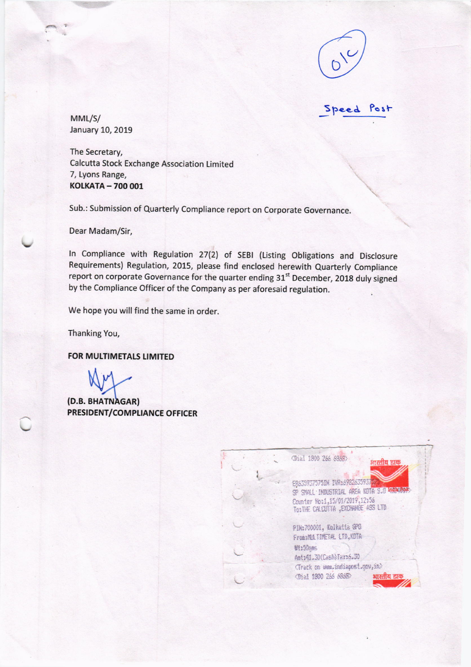

**Speed** rost

 $MML/S/$ January 10, 2019

The Secretary, Calcutta Stock Exchange Association Limited 7, Lyons Range, KOLKATA - 700 001

Sub.: Submission of Quarterly Compliance report on Corporate Governance.

Dear Madam/Sir,

In Compliance with Regulation 27(2) of SEBI (Listing Obligations and Disclosure Requirements) Regulation, 2015, please find enclosed herewith Quarterly Compliance report on corporate Governance for the quarter ending 31<sup>st</sup> December, 2018 duly signed by the Compliance Officer of the Company as per aforesaid regulation.

We hope you will find the same in order.

Thanking You,

FOR MULTIMETALS LIMITED

(D.B. BHATNAGAR) PRESIDENT/COMPLIANCE OFFICER